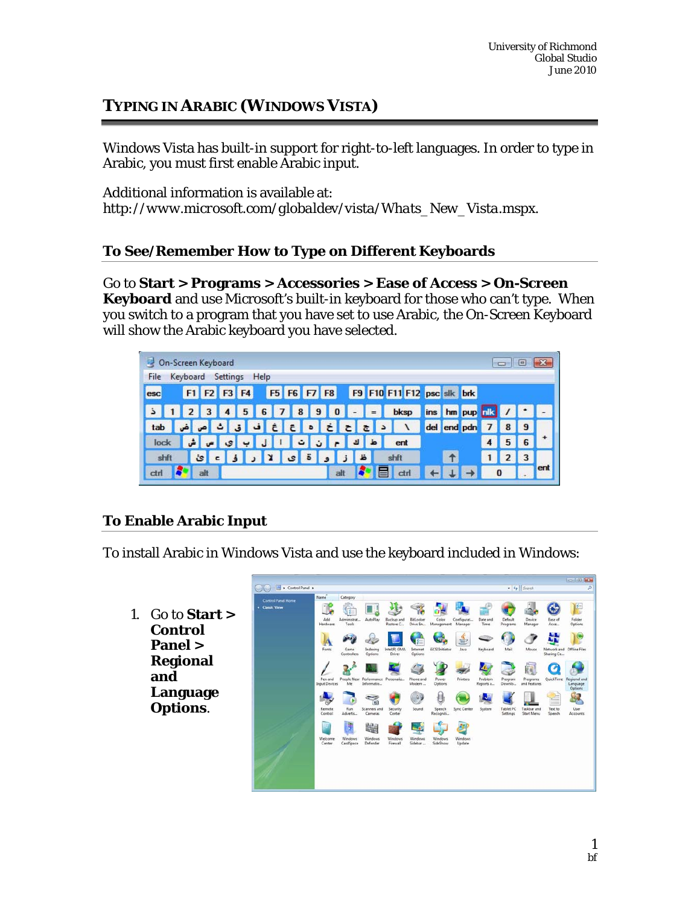# **TYPING IN ARABIC (WINDOWS VISTA)**

Windows Vista has built-in support for right-to-left languages. In order to type in Arabic, you must first enable Arabic input.

Additional information is available at: *http://www.microsoft.com/globaldev/vista/Whats\_New\_Vista.mspx*.

## **To See/Remember How to Type on Different Keyboards**

Go to **Start > Programs > Accessories > Ease of Access > On-Screen Keyboard** and use Microsoft's built-in keyboard for those who can't type. When you switch to a program that you have set to use Arabic, the On-Screen Keyboard will show the Arabic keyboard you have selected.

|      |          |    | On-Screen Keyboard |   |      |            |             |           |    |     |                |   |                           |                |                            |  |                  |          |   | $=$ |     |
|------|----------|----|--------------------|---|------|------------|-------------|-----------|----|-----|----------------|---|---------------------------|----------------|----------------------------|--|------------------|----------|---|-----|-----|
| File | Keyboard |    | Settings           |   | Help |            |             |           |    |     |                |   |                           |                |                            |  |                  |          |   |     |     |
| esc  |          |    | F1 F2 F3 F4        |   |      |            | F5 F6 F7 F8 |           |    |     |                |   |                           |                | F9 F10 F11 F12 psc slk brk |  |                  |          |   |     |     |
| ذ    |          |    | $\overline{4}$     | 5 | 6    |            | 7890        |           |    |     | $\overline{a}$ |   | $\mathbf{I} = \mathbf{I}$ |                | bksp                       |  | ins hm pup nik / |          |   |     |     |
| tab  |          | اص |                    |   | ا ف  | $\epsilon$ | E           | $ \cdot $ |    |     | z              |   | $\epsilon$                | $\overline{a}$ |                            |  | del end pdn      |          |   | 9   |     |
| lock |          |    | ى                  |   |      |            |             | ت         | ÷. |     |                |   |                           |                | ent                        |  |                  |          | 5 | 6   |     |
| shft |          | ئ  |                    |   |      |            |             |           |    |     |                | ظ |                           |                | shft                       |  |                  |          |   | 3   |     |
| ctri |          |    |                    |   |      |            |             |           |    | all |                |   |                           |                | ctri                       |  |                  | $\Omega$ |   |     | ent |

## **To Enable Arabic Input**

To install Arabic in Windows Vista and use the keyboard included in Windows:

1. Go to **Start > Control Panel > Regional and Language Options**.

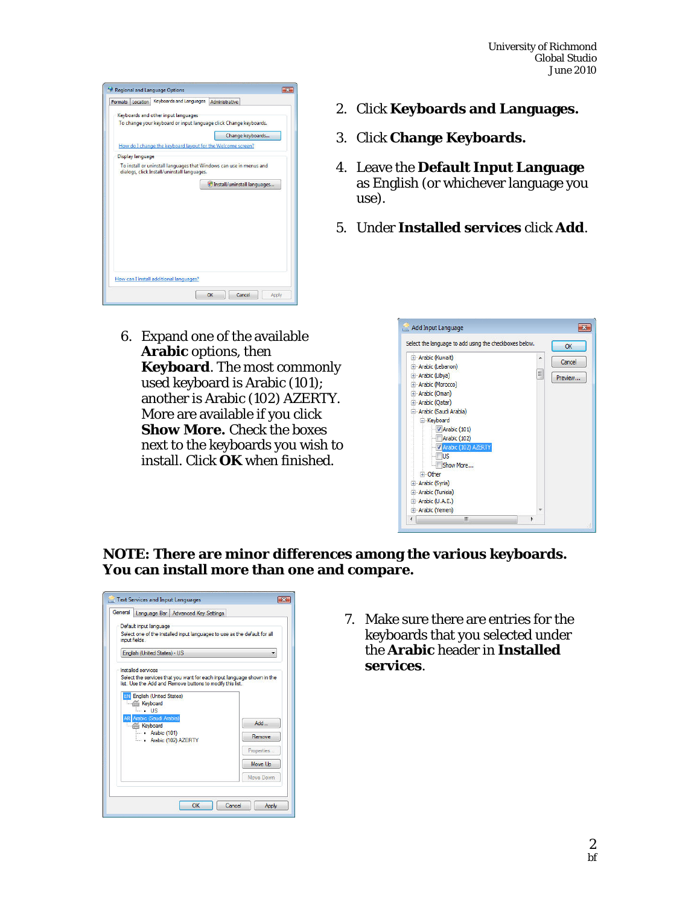| Formats                 | Location | Keyboards and Languages                                     | Administrative                                                      |
|-------------------------|----------|-------------------------------------------------------------|---------------------------------------------------------------------|
|                         |          | Keyboards and other input languages                         |                                                                     |
|                         |          |                                                             | To change your keyboard or input language click Change keyboards.   |
|                         |          |                                                             | Change keyboards                                                    |
|                         |          | How do I change the keyboard layout for the Welcome screen? |                                                                     |
| <b>Display language</b> |          |                                                             |                                                                     |
|                         |          | dialogs, click Install/uninstall languages.                 | To install or uninstall languages that Windows can use in menus and |
|                         |          |                                                             |                                                                     |
|                         |          |                                                             | * Install/uninstall languages                                       |
|                         |          |                                                             |                                                                     |
|                         |          |                                                             |                                                                     |
|                         |          |                                                             |                                                                     |
|                         |          |                                                             |                                                                     |
|                         |          |                                                             |                                                                     |
|                         |          |                                                             |                                                                     |
|                         |          |                                                             |                                                                     |
|                         |          |                                                             |                                                                     |
|                         |          |                                                             |                                                                     |
|                         |          | How can I install additional languages?                     |                                                                     |

6. Expand one of the available **Arabic** options, then **Keyboard**. The most commonly used keyboard is Arabic (101); another is Arabic (102) AZERTY. More are available if you click **Show More.** Check the boxes next to the keyboards you wish to install. Click **OK** when finished.

- 2. Click **Keyboards and Languages.**
- 3. Click **Change Keyboards.**
- 4. Leave the **Default Input Language** as English (or whichever language you use).
- 5. Under **Installed services** click **Add**.

| Select the language to add using the checkboxes below. |   | OK      |
|--------------------------------------------------------|---|---------|
| + Arabic (Kuwait)                                      | ▲ | Cancel  |
| + Arabic (Lebanon)                                     |   |         |
| F Arabic (Libya)                                       | 티 | Preview |
| <b>E</b> -Arabic (Morocco)                             |   |         |
| El-Arabic (Oman)                                       |   |         |
| F Arabic (Qatar)                                       |   |         |
| Arabic (Saudi Arabia)                                  |   |         |
| E Keyboard                                             |   |         |
| $\triangledown$ Arabic (101)                           |   |         |
| Arabic (102)                                           |   |         |
| Arabic (102) AZERTY                                    |   |         |
| <b>US</b>                                              |   |         |
| Show More                                              |   |         |
| + Other                                                |   |         |
| El-Arabic (Syria)                                      |   |         |
| + Arabic (Tunisia)                                     |   |         |
|                                                        |   |         |
| El-Arabic (U.A.E.)                                     |   |         |

**NOTE: There are minor differences among the various keyboards. You can install more than one and compare.** 

|    |                                                                                            | General Language Bar   Advanced Key Settings                           |            |  |  |  |  |
|----|--------------------------------------------------------------------------------------------|------------------------------------------------------------------------|------------|--|--|--|--|
|    | Default input language                                                                     |                                                                        |            |  |  |  |  |
|    | Select one of the installed input languages to use as the default for all<br>input fields. |                                                                        |            |  |  |  |  |
|    | English (United States) - US                                                               |                                                                        |            |  |  |  |  |
|    |                                                                                            |                                                                        |            |  |  |  |  |
|    | Installed services                                                                         |                                                                        |            |  |  |  |  |
|    | list. Use the Add and Remove buttons to modify this list.                                  | Select the services that you want for each input language shown in the |            |  |  |  |  |
| FN | English (United States)                                                                    |                                                                        |            |  |  |  |  |
|    | <b>Keyboard</b>                                                                            |                                                                        |            |  |  |  |  |
|    | $-1$ is<br>Arabic (Saudi Arabia)                                                           |                                                                        | Add        |  |  |  |  |
|    | Keyboard                                                                                   |                                                                        |            |  |  |  |  |
|    | $-A$ rabic (101)                                                                           |                                                                        | Remove     |  |  |  |  |
|    | Arabic (102) AZERTY                                                                        |                                                                        |            |  |  |  |  |
|    |                                                                                            |                                                                        | Properties |  |  |  |  |
|    |                                                                                            |                                                                        | Move Up    |  |  |  |  |
|    |                                                                                            |                                                                        | Move Down  |  |  |  |  |

7. Make sure there are entries for the keyboards that you selected under the **Arabic** header in **Installed services**.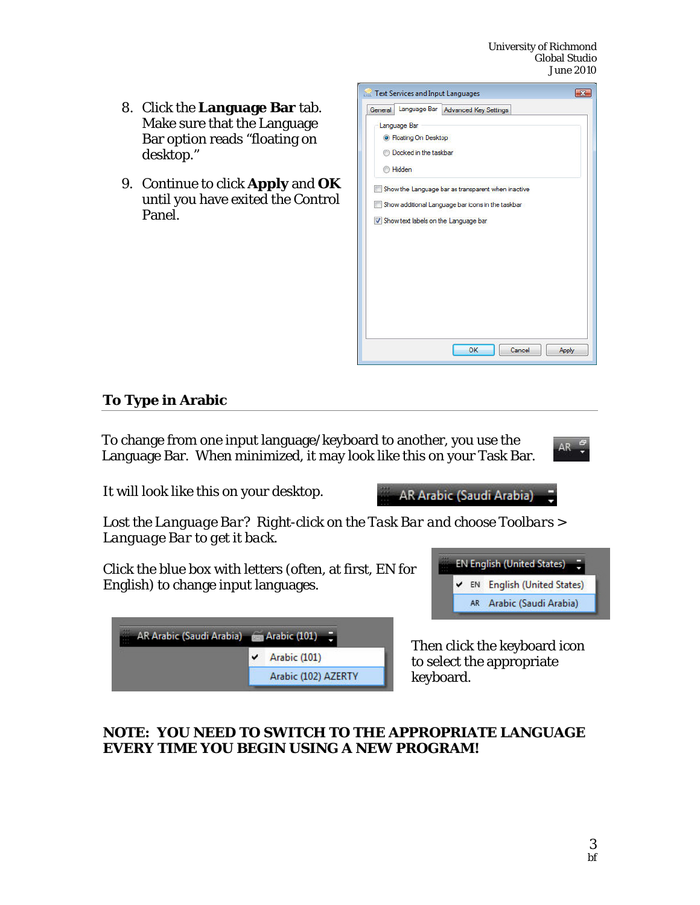- 8. Click the **Language Bar** tab. Make sure that the Language Bar option reads "floating on desktop."
- 9. Continue to click **Apply** and **OK** until you have exited the Control Panel.

| Text Services and Input Languages      |                                                    |  |
|----------------------------------------|----------------------------------------------------|--|
| General                                | Language Bar   Advanced Key Settings               |  |
| Language Bar                           |                                                    |  |
| <b>O</b> Floating On Desktop           |                                                    |  |
| Docked in the taskbar                  |                                                    |  |
| Hidden                                 |                                                    |  |
|                                        | Show the Language bar as transparent when inactive |  |
|                                        | Show additional Language bar icons in the taskbar  |  |
| V Show text labels on the Language bar |                                                    |  |
|                                        |                                                    |  |
|                                        |                                                    |  |
|                                        |                                                    |  |
|                                        |                                                    |  |
|                                        |                                                    |  |
|                                        |                                                    |  |
|                                        |                                                    |  |
|                                        |                                                    |  |
|                                        | OK<br>Cancel                                       |  |

AR Arabic (Saudi Arabia)

## **To Type in Arabic**

To change from one input language/keyboard to another, you use the Language Bar. When minimized, it may look like this on your Task Bar.



It will look like this on your desktop.

*Lost the Language Bar? Right-click on the Task Bar and choose Toolbars > Language Bar to get it back.* 

Click the blue box with letters (often, at first, EN for English) to change input languages.

| AR Arabic (Saudi Arabia) (201) |                     |
|--------------------------------|---------------------|
|                                | Arabic (101)<br>v   |
|                                | Arabic (102) AZERTY |

**EN English (United States)** EN English (United States) AR Arabic (Saudi Arabia)

Then click the keyboard icon to select the appropriate keyboard.

## **NOTE: YOU NEED TO SWITCH TO THE APPROPRIATE LANGUAGE EVERY TIME YOU BEGIN USING A NEW PROGRAM!**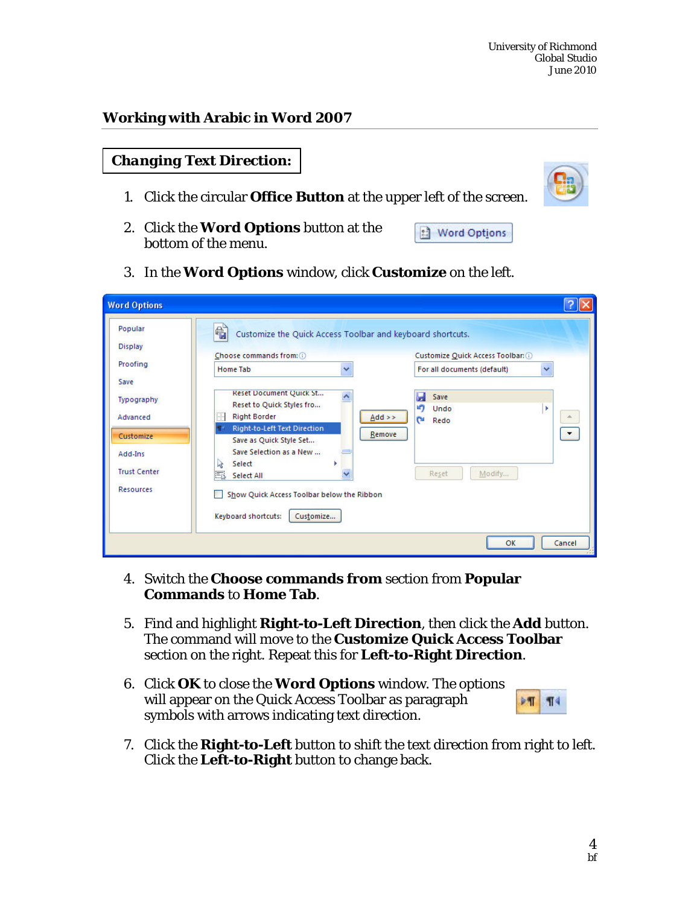#### **Working with Arabic in Word 2007**

| <b>Changing Text Direction:</b> |  |  |
|---------------------------------|--|--|
|                                 |  |  |

- 1. Click the circular **Office Button** at the upper left of the screen.
- 2. Click the **Word Options** button at the bottom of the menu.



3. In the **Word Options** window, click **Customize** on the left.

| <b>Word Options</b>                                                                                                                        |                                                                                                                                                                                                                                                                                                                                                                                                                                         |                                                                                                                                                                                  |
|--------------------------------------------------------------------------------------------------------------------------------------------|-----------------------------------------------------------------------------------------------------------------------------------------------------------------------------------------------------------------------------------------------------------------------------------------------------------------------------------------------------------------------------------------------------------------------------------------|----------------------------------------------------------------------------------------------------------------------------------------------------------------------------------|
| Popular<br><b>Display</b><br>Proofing<br>Save<br>Typography<br>Advanced<br>Customize<br>Add-Ins<br><b>Trust Center</b><br><b>Resources</b> | €<br>Customize the Quick Access Toolbar and keyboard shortcuts.<br>Choose commands from: 0<br><b>Home Tab</b><br>$\checkmark$<br>Reset Document Quick St<br>Reset to Quick Styles fro<br>p.<br><b>Right Border</b><br>Right-to-Left Text Direction<br>Save as Quick Style Set<br>Save Selection as a New<br>$\mathbf{R}$<br>Select<br>蠶<br>Select All<br>Show Quick Access Toolbar below the Ribbon<br>Keyboard shortcuts:<br>Customize | Customize Quick Access Toolbar: O<br>For all documents (default)<br>$\checkmark$<br>Save<br>н<br>LF)<br>Undo<br>×<br>$Add \geq$<br>A.<br>C.<br>Redo<br>Remove<br>Modify<br>Reset |
|                                                                                                                                            |                                                                                                                                                                                                                                                                                                                                                                                                                                         | OK<br>Cancel                                                                                                                                                                     |

- 4. Switch the **Choose commands from** section from **Popular Commands** to **Home Tab**.
- 5. Find and highlight **Right-to-Left Direction**, then click the **Add** button. The command will move to the **Customize Quick Access Toolbar** section on the right. Repeat this for **Left-to-Right Direction**.
- 6. Click **OK** to close the **Word Options** window. The options will appear on the Quick Access Toolbar as paragraph symbols with arrows indicating text direction.



7. Click the **Right-to-Left** button to shift the text direction from right to left. Click the **Left-to-Right** button to change back.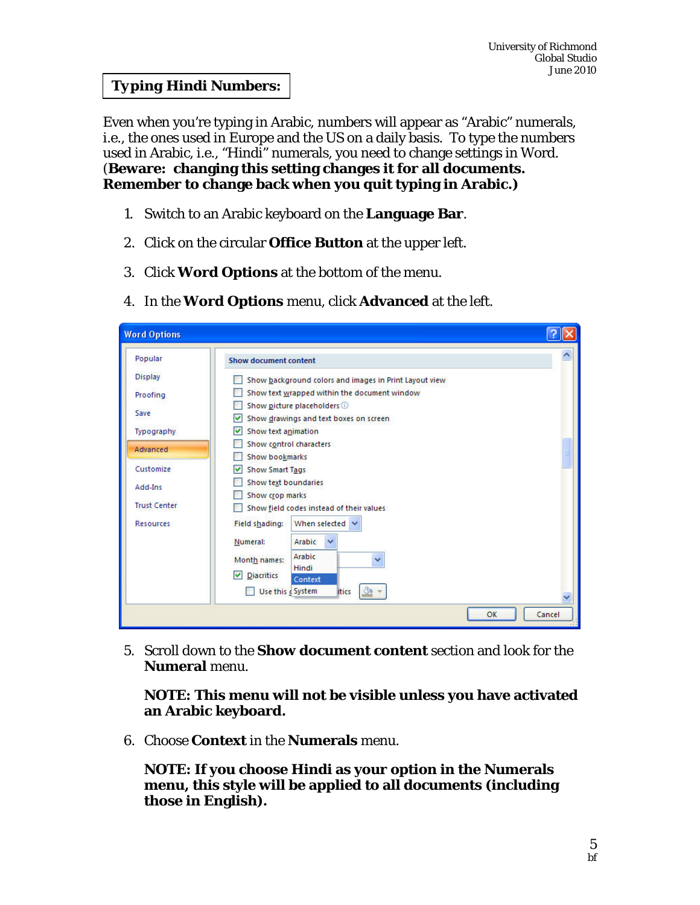## *Typing Hindi Numbers:*

Even when you're typing in Arabic, numbers will appear as "Arabic" numerals, i.e., the ones used in Europe and the US on a daily basis. To type the numbers used in Arabic, i.e., "Hindi" numerals, you need to change settings in Word. (**Beware: changing this setting changes it for all documents. Remember to change back when you quit typing in Arabic.)**

- 1. Switch to an Arabic keyboard on the **Language Bar**.
- 2. Click on the circular **Office Button** at the upper left.
- 3. Click **Word Options** at the bottom of the menu.
- 4. In the **Word Options** menu, click **Advanced** at the left.

| <b>Word Options</b>                     |                                                                                                        |        |
|-----------------------------------------|--------------------------------------------------------------------------------------------------------|--------|
| Popular                                 | <b>Show document content</b>                                                                           | ٨      |
| <b>Display</b><br>Proofing              | Show background colors and images in Print Layout view<br>Show text wrapped within the document window |        |
| Save                                    | Show picture placeholders @<br>Show drawings and text boxes on screen                                  |        |
| Typography<br>Advanced                  | Show text animation<br>M<br>Show control characters                                                    |        |
| Customize                               | <b>Show bookmarks</b><br><b>Show Smart Tags</b><br>M                                                   |        |
| Add-Ins                                 | Show text boundaries<br>Show crop marks                                                                |        |
| <b>Trust Center</b><br><b>Resources</b> | Show field codes instead of their values<br>When selected $\vee$<br>Field shading:                     |        |
|                                         | Arabic<br>Numeral:<br>$\checkmark$                                                                     |        |
|                                         | Arabic<br>Month names:<br>Hindi<br><b>Diacritics</b><br>M<br>Context                                   |        |
|                                         | Use this e System<br>itics                                                                             | v      |
|                                         | OK                                                                                                     | Cancel |

5. Scroll down to the **Show document content** section and look for the **Numeral** menu.

**NOTE: This menu will not be visible unless you have activated an Arabic keyboard.** 

6. Choose **Context** in the **Numerals** menu.

**NOTE: If you choose Hindi as your option in the Numerals menu, this style will be applied to all documents (including those in English).**